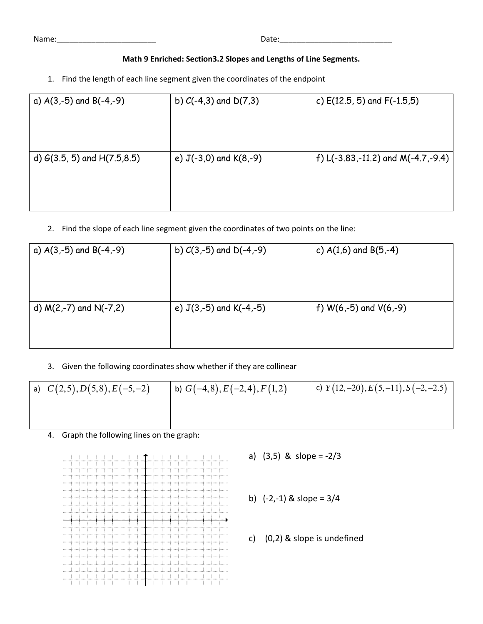Name:\_\_\_\_\_\_\_\_\_\_\_\_\_\_\_\_\_\_\_\_\_\_\_ Date:\_\_\_\_\_\_\_\_\_\_\_\_\_\_\_\_\_\_\_\_\_\_\_\_\_\_

| Name: |  |
|-------|--|
|       |  |

## **Math 9 Enriched: Section3.2 Slopes and Lengths of Line Segments.**

1. Find the length of each line segment given the coordinates of the endpoint

| a) $A(3,-5)$ and $B(-4,-9)$      | b) $C(-4,3)$ and $D(7,3)$  | c) $E(12.5, 5)$ and $F(-1.5, 5)$   |
|----------------------------------|----------------------------|------------------------------------|
| d) $G(3.5, 5)$ and $H(7.5, 8.5)$ | e) $J(-3,0)$ and $K(8,-9)$ | f) L(-3.83,-11.2) and M(-4.7,-9.4) |

2. Find the slope of each line segment given the coordinates of two points on the line:

| a) $A(3,-5)$ and $B(-4,-9)$ | b) $C(3,-5)$ and $D(-4,-9)$ | c) $A(1,6)$ and $B(5,-4)$  |
|-----------------------------|-----------------------------|----------------------------|
| d) $M(2,-7)$ and $N(-7,2)$  | e) $J(3,-5)$ and $K(-4,-5)$ | f) $W(6,-5)$ and $V(6,-9)$ |

3. Given the following coordinates show whether if they are collinear

| a) $C(2,5), D(5,8), E(-5,-2)$ | b) $G(-4,8)$ , $E(-2,4)$ , $F(1,2)$ | c) $Y(12,-20), E(5,-11), S(-2,-2.5)$ |
|-------------------------------|-------------------------------------|--------------------------------------|
|                               |                                     |                                      |
|                               |                                     |                                      |

4. Graph the following lines on the graph:

- a) (3,5) & slope = ‐2/3
- b) (‐2,‐1) & slope = 3/4
- c) (0,2) & slope is undefined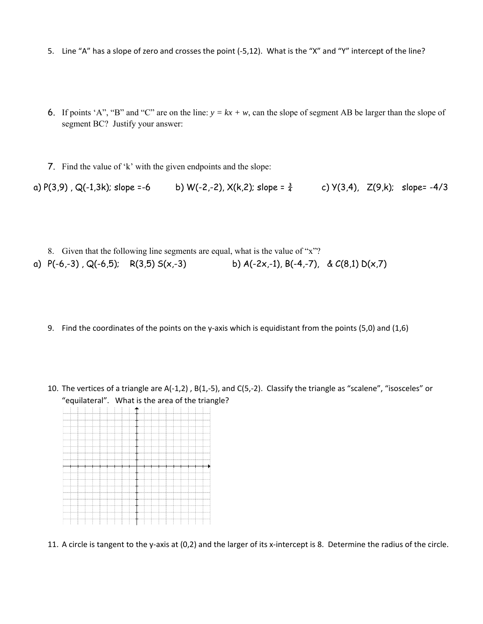- 5. Line "A" has a slope of zero and crosses the point (‐5,12). What is the "X" and "Y" intercept of the line?
- 6. If points 'A", "B" and "C" are on the line:  $y = kx + w$ , can the slope of segment AB be larger than the slope of segment BC? Justify your answer:
- 7. Find the value of 'k' with the given endpoints and the slope:

a)  $P(3,9)$ , Q(-1,3k); slope =-6 b) W(-2,-2), X(k,2); slope =  $\frac{3}{4}$  c) Y(3,4), Z(9,k); slope= -4/3

- 8. Given that the following line segments are equal, what is the value of "x"? a)  $P(-6,-3)$ ,  $Q(-6,5)$ ;  $R(3,5) S(x,-3)$  b)  $A(-2x,-1)$ ,  $B(-4,-7)$ , &  $C(8,1) D(x,7)$ 
	- 9. Find the coordinates of the points on the y-axis which is equidistant from the points (5,0) and (1,6)
	- 10. The vertices of a triangle are A(‐1,2) , B(1,‐5), and C(5,‐2). Classify the triangle as "scalene", "isosceles" or "equilateral". What is the area of the triangle?



11. A circle is tangent to the y-axis at (0,2) and the larger of its x-intercept is 8. Determine the radius of the circle.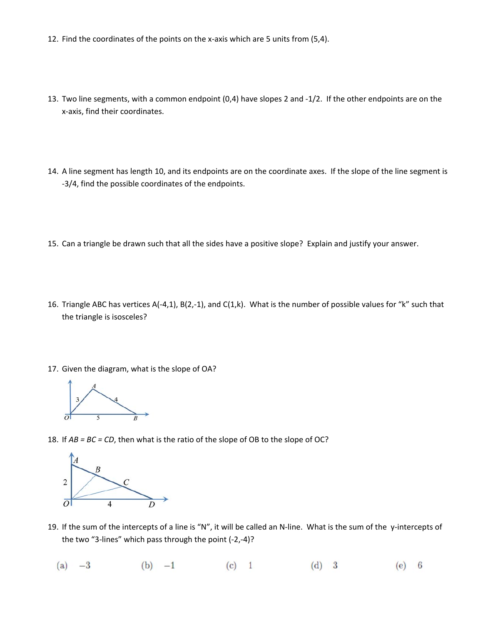- 12. Find the coordinates of the points on the x‐axis which are 5 units from (5,4).
- 13. Two line segments, with a common endpoint (0,4) have slopes 2 and ‐1/2. If the other endpoints are on the x‐axis, find their coordinates.
- 14. A line segment has length 10, and its endpoints are on the coordinate axes. If the slope of the line segment is ‐3/4, find the possible coordinates of the endpoints.
- 15. Can a triangle be drawn such that all the sides have a positive slope? Explain and justify your answer.
- 16. Triangle ABC has vertices A(‐4,1), B(2,‐1), and C(1,k). What is the number of possible values for "k" such that the triangle is isosceles?
- 17. Given the diagram, what is the slope of OA?



18. If *AB = BC = CD*, then what is the ratio of the slope of OB to the slope of OC?



- 19. If the sum of the intercepts of a line is "N", it will be called an N‐line. What is the sum of the y‐intercepts of the two "3‐lines" which pass through the point (‐2,‐4)?
	- $(a) -3$ (b)  $-1$  (c) 1  $(d)$  3  $(e)$  6